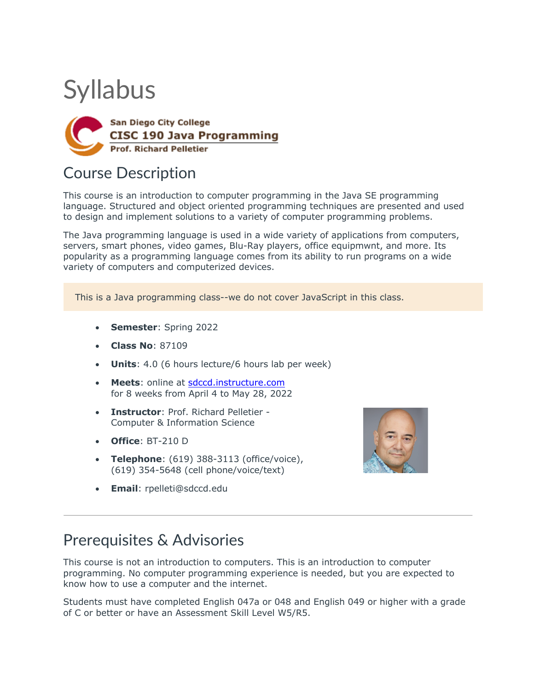# **Syllabus**



# Course Description

This course is an introduction to computer programming in the Java SE programming language. Structured and object oriented programming techniques are presented and used to design and implement solutions to a variety of computer programming problems.

The Java programming language is used in a wide variety of applications from computers, servers, smart phones, video games, Blu-Ray players, office equipmwnt, and more. Its popularity as a programming language comes from its ability to run programs on a wide variety of computers and computerized devices.

This is a Java programming class--we do not cover JavaScript in this class.

- **Semester**: Spring 2022
- **Class No**: 87109
- **Units**: 4.0 (6 hours lecture/6 hours lab per week)
- **Meets**: online at sdccd.instructure.com for 8 weeks from April 4 to May 28, 2022
- **Instructor**: Prof. Richard Pelletier Computer & Information Science
- **Office**: BT-210 D
- **Telephone**: (619) 388-3113 (office/voice), (619) 354-5648 (cell phone/voice/text)
- **Email**: rpelleti@sdccd.edu



### Prerequisites & Advisories

This course is not an introduction to computers. This is an introduction to computer programming. No computer programming experience is needed, but you are expected to know how to use a computer and the internet.

Students must have completed English 047a or 048 and English 049 or higher with a grade of C or better or have an Assessment Skill Level W5/R5.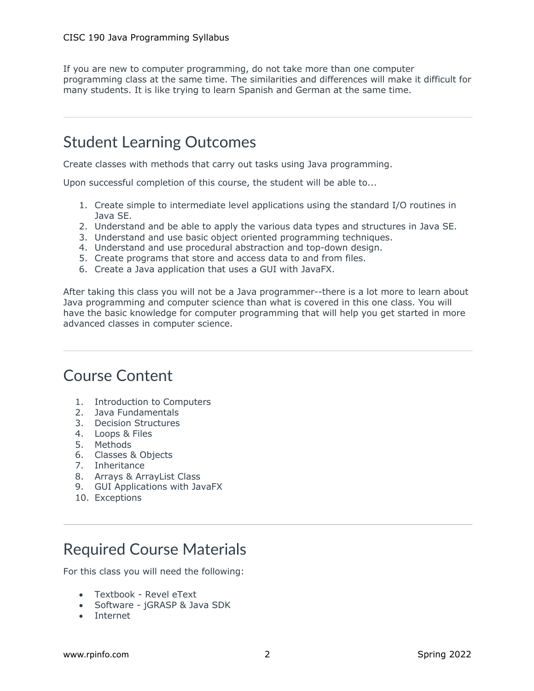If you are new to computer programming, do not take more than one computer programming class at the same time. The similarities and differences will make it difficult for many students. It is like trying to learn Spanish and German at the same time.

## Student Learning Outcomes

Create classes with methods that carry out tasks using Java programming.

Upon successful completion of this course, the student will be able to...

- 1. Create simple to intermediate level applications using the standard I/O routines in Java SE.
- 2. Understand and be able to apply the various data types and structures in Java SE.
- 3. Understand and use basic object oriented programming techniques.
- 4. Understand and use procedural abstraction and top-down design.
- 5. Create programs that store and access data to and from files.
- 6. Create a Java application that uses a GUI with JavaFX.

After taking this class you will not be a Java programmer--there is a lot more to learn about Java programming and computer science than what is covered in this one class. You will have the basic knowledge for computer programming that will help you get started in more advanced classes in computer science.

### Course Content

- 1. Introduction to Computers
- 2. Java Fundamentals
- 3. Decision Structures
- 4. Loops & Files
- 5. Methods
- 6. Classes & Objects
- 7. Inheritance
- 8. Arrays & ArrayList Class
- 9. GUI Applications with JavaFX
- 10. Exceptions

# Required Course Materials

For this class you will need the following:

- Textbook Revel eText
- Software jGRASP & Java SDK
- Internet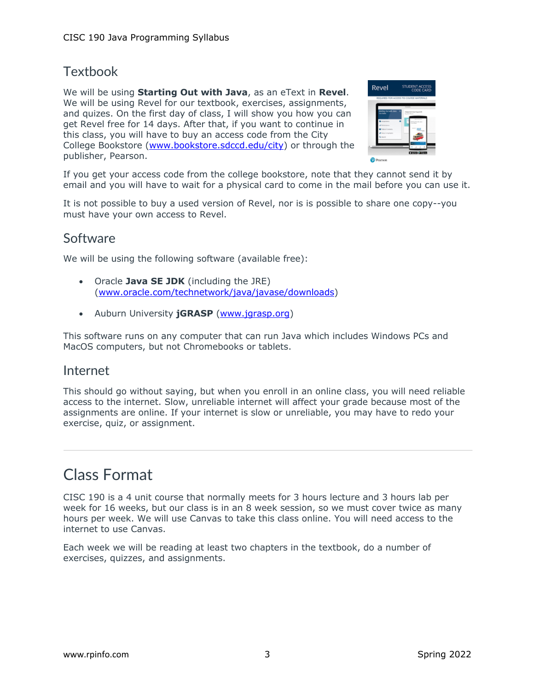### **Textbook**

We will be using **Starting Out with Java**, as an eText in **Revel**. We will be using Revel for our textbook, exercises, assignments, and quizes. On the first day of class, I will show you how you can get Revel free for 14 days. After that, if you want to continue in this class, you will have to buy an access code from the City College Bookstore (www.bookstore.sdccd.edu/city) or through the publisher, Pearson.



If you get your access code from the college bookstore, note that they cannot send it by email and you will have to wait for a physical card to come in the mail before you can use it.

It is not possible to buy a used version of Revel, nor is is possible to share one copy--you must have your own access to Revel.

#### Software

We will be using the following software (available free):

- Oracle **Java SE JDK** (including the JRE) (www.oracle.com/technetwork/java/javase/downloads)
- Auburn University **jGRASP** (www.jgrasp.org)

This software runs on any computer that can run Java which includes Windows PCs and MacOS computers, but not Chromebooks or tablets.

#### Internet

This should go without saying, but when you enroll in an online class, you will need reliable access to the internet. Slow, unreliable internet will affect your grade because most of the assignments are online. If your internet is slow or unreliable, you may have to redo your exercise, quiz, or assignment.

# Class Format

CISC 190 is a 4 unit course that normally meets for 3 hours lecture and 3 hours lab per week for 16 weeks, but our class is in an 8 week session, so we must cover twice as many hours per week. We will use Canvas to take this class online. You will need access to the internet to use Canvas.

Each week we will be reading at least two chapters in the textbook, do a number of exercises, quizzes, and assignments.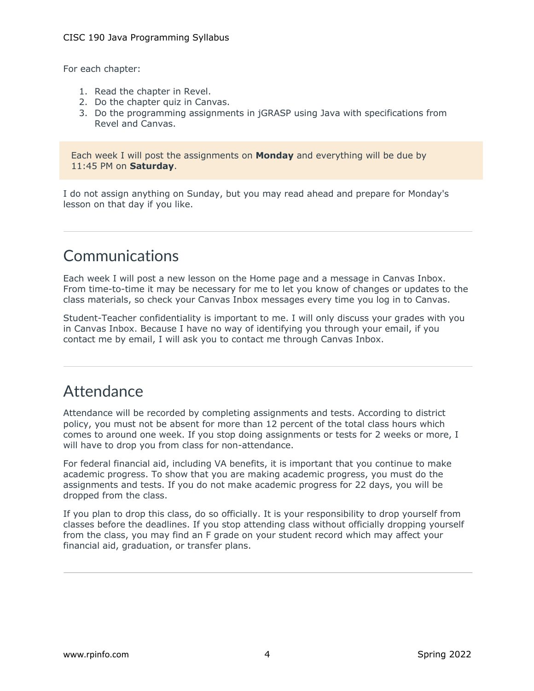For each chapter:

- 1. Read the chapter in Revel.
- 2. Do the chapter quiz in Canvas.
- 3. Do the programming assignments in jGRASP using Java with specifications from Revel and Canvas.

Each week I will post the assignments on **Monday** and everything will be due by 11:45 PM on **Saturday**.

I do not assign anything on Sunday, but you may read ahead and prepare for Monday's lesson on that day if you like.

# Communications

Each week I will post a new lesson on the Home page and a message in Canvas Inbox. From time-to-time it may be necessary for me to let you know of changes or updates to the class materials, so check your Canvas Inbox messages every time you log in to Canvas.

Student-Teacher confidentiality is important to me. I will only discuss your grades with you in Canvas Inbox. Because I have no way of identifying you through your email, if you contact me by email, I will ask you to contact me through Canvas Inbox.

# **Attendance**

Attendance will be recorded by completing assignments and tests. According to district policy, you must not be absent for more than 12 percent of the total class hours which comes to around one week. If you stop doing assignments or tests for 2 weeks or more, I will have to drop you from class for non-attendance.

For federal financial aid, including VA benefits, it is important that you continue to make academic progress. To show that you are making academic progress, you must do the assignments and tests. If you do not make academic progress for 22 days, you will be dropped from the class.

If you plan to drop this class, do so officially. It is your responsibility to drop yourself from classes before the deadlines. If you stop attending class without officially dropping yourself from the class, you may find an F grade on your student record which may affect your financial aid, graduation, or transfer plans.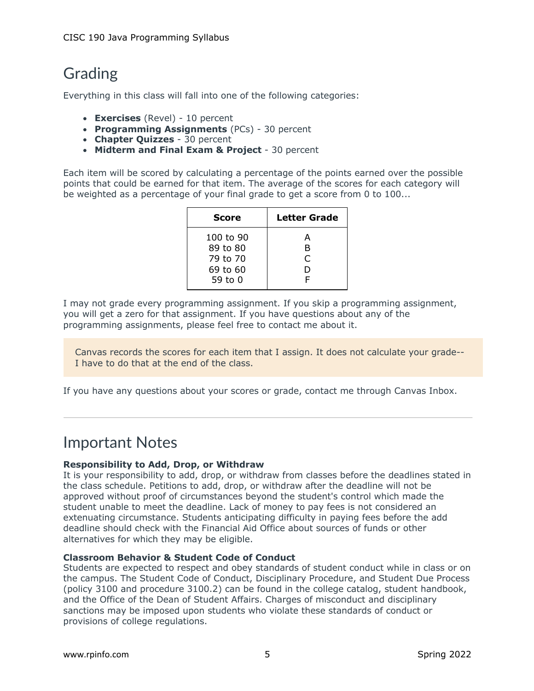# Grading

Everything in this class will fall into one of the following categories:

- **Exercises** (Revel) 10 percent
- **Programming Assignments** (PCs) 30 percent
- **Chapter Quizzes** 30 percent
- **Midterm and Final Exam & Project** 30 percent

Each item will be scored by calculating a percentage of the points earned over the possible points that could be earned for that item. The average of the scores for each category will be weighted as a percentage of your final grade to get a score from 0 to 100...

| <b>Score</b> | <b>Letter Grade</b> |
|--------------|---------------------|
| 100 to 90    | А                   |
| 89 to 80     | в                   |
| 79 to 70     | C                   |
| 69 to 60     | D                   |
| 59 to 0      | F                   |

I may not grade every programming assignment. If you skip a programming assignment, you will get a zero for that assignment. If you have questions about any of the programming assignments, please feel free to contact me about it.

Canvas records the scores for each item that I assign. It does not calculate your grade-- I have to do that at the end of the class.

If you have any questions about your scores or grade, contact me through Canvas Inbox.

## Important Notes

#### **Responsibility to Add, Drop, or Withdraw**

It is your responsibility to add, drop, or withdraw from classes before the deadlines stated in the class schedule. Petitions to add, drop, or withdraw after the deadline will not be approved without proof of circumstances beyond the student's control which made the student unable to meet the deadline. Lack of money to pay fees is not considered an extenuating circumstance. Students anticipating difficulty in paying fees before the add deadline should check with the Financial Aid Office about sources of funds or other alternatives for which they may be eligible.

#### **Classroom Behavior & Student Code of Conduct**

Students are expected to respect and obey standards of student conduct while in class or on the campus. The Student Code of Conduct, Disciplinary Procedure, and Student Due Process (policy 3100 and procedure 3100.2) can be found in the college catalog, student handbook, and the Office of the Dean of Student Affairs. Charges of misconduct and disciplinary sanctions may be imposed upon students who violate these standards of conduct or provisions of college regulations.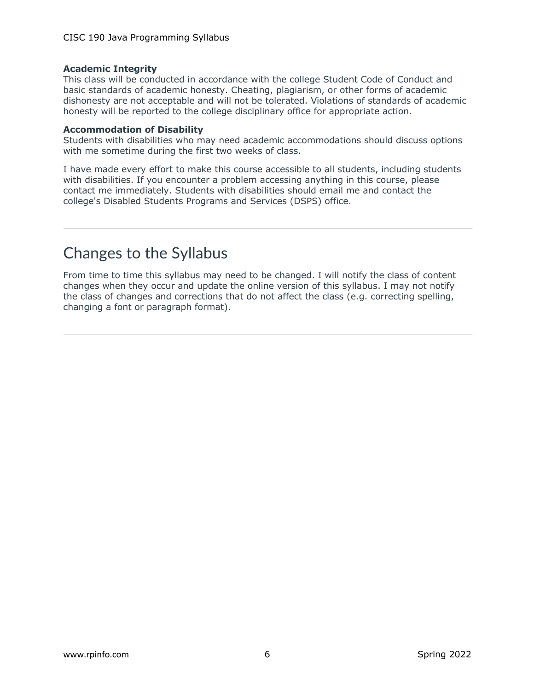#### **Academic Integrity**

This class will be conducted in accordance with the college Student Code of Conduct and basic standards of academic honesty. Cheating, plagiarism, or other forms of academic dishonesty are not acceptable and will not be tolerated. Violations of standards of academic honesty will be reported to the college disciplinary office for appropriate action.

#### **Accommodation of Disability**

Students with disabilities who may need academic accommodations should discuss options with me sometime during the first two weeks of class.

I have made every effort to make this course accessible to all students, including students with disabilities. If you encounter a problem accessing anything in this course, please contact me immediately. Students with disabilities should email me and contact the college's Disabled Students Programs and Services (DSPS) office.

## Changes to the Syllabus

From time to time this syllabus may need to be changed. I will notify the class of content changes when they occur and update the online version of this syllabus. I may not notify the class of changes and corrections that do not affect the class (e.g. correcting spelling, changing a font or paragraph format).